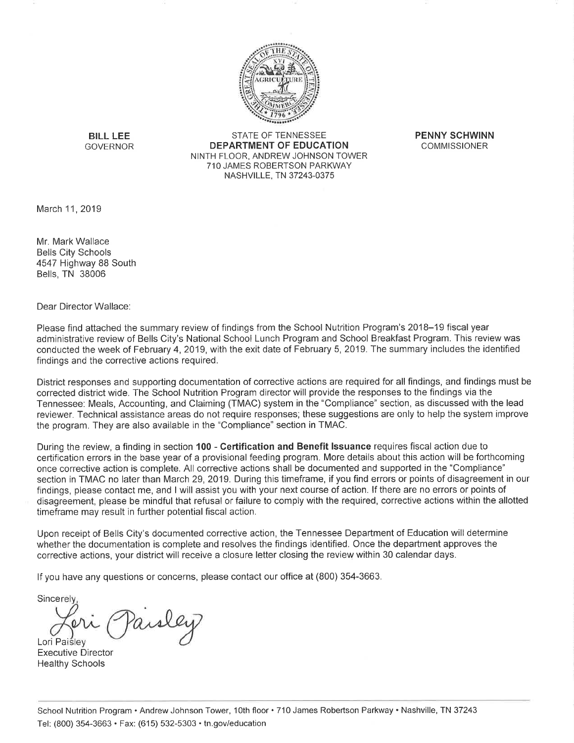

**BILL LEE GOVERNOR** 

**STATE OF TENNESSEE DEPARTMENT OF EDUCATION** NINTH FLOOR, ANDREW JOHNSON TOWER 710 JAMES ROBERTSON PARKWAY NASHVILLE, TN 37243-0375

**PENNY SCHWINN COMMISSIONER** 

March 11, 2019

Mr Mark Wallace **Bells City Schools** 4547 Highway 88 South Bells, TN 38006

Dear Director Wallace:

Please find attached the summary review of findings from the School Nutrition Program's 2018-19 fiscal year administrative review of Bells City's National School Lunch Program and School Breakfast Program. This review was conducted the week of February 4, 2019, with the exit date of February 5, 2019. The summary includes the identified findings and the corrective actions required.

District responses and supporting documentation of corrective actions are required for all findings, and findings must be corrected district wide. The School Nutrition Program director will provide the responses to the findings via the Tennessee: Meals, Accounting, and Claiming (TMAC) system in the "Compliance" section, as discussed with the lead reviewer. Technical assistance areas do not require responses; these suggestions are only to help the system improve the program. They are also available in the "Compliance" section in TMAC.

During the review, a finding in section 100 - Certification and Benefit Issuance requires fiscal action due to certification errors in the base year of a provisional feeding program. More details about this action will be forthcoming once corrective action is complete. All corrective actions shall be documented and supported in the "Compliance" section in TMAC no later than March 29, 2019. During this timeframe, if you find errors or points of disagreement in our findings, please contact me, and I will assist you with your next course of action. If there are no errors or points of disagreement, please be mindful that refusal or failure to comply with the required, corrective actions within the allotted timeframe may result in further potential fiscal action.

Upon receipt of Bells City's documented corrective action, the Tennessee Department of Education will determine whether the documentation is complete and resolves the findings identified. Once the department approves the corrective actions, your district will receive a closure letter closing the review within 30 calendar days.

If you have any questions or concerns, please contact our office at (800) 354-3663.

Sincerely

aisley Lori Paisley

**Executive Director Healthy Schools**